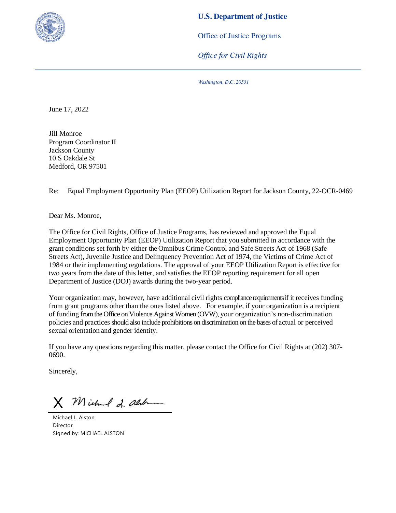#### **U.S. Department of Justice**



**Office of Justice Programs** 

**Office for Civil Rights** 

Washington, D.C. 20531

June 17, 2022

Jill Monroe Program Coordinator II Jackson County 10 S Oakdale St Medford, OR 97501

Re: Equal Employment Opportunity Plan (EEOP) Utilization Report for Jackson County, 22-OCR-0469

Dear Ms. Monroe,

The Office for Civil Rights, Office of Justice Programs, has reviewed and approved the Equal Employment Opportunity Plan (EEOP) Utilization Report that you submitted in accordance with the grant conditions set forth by either the Omnibus Crime Control and Safe Streets Act of 1968 (Safe Streets Act), Juvenile Justice and Delinquency Prevention Act of 1974, the Victims of Crime Act of 1984 or their implementing regulations. The approval of your EEOP Utilization Report is effective for two years from the date of this letter, and satisfies the EEOP reporting requirement for all open Department of Justice (DOJ) awards during the two-year period.

Your organization may, however, have additional civil rights compliance requirements if it receives funding from grant programs other than the ones listed above. For example, if your organization is a recipient of funding from the Office on Violence Against Women (OVW), your organization's non-discrimination policies and practices should also include prohibitions on discrimination on the bases of actual or perceived sexual orientation and gender identity.

If you have any questions regarding this matter, please contact the Office for Civil Rights at (202) 307- 0690.

Sincerely,

X Michael 2. alsbe-

Michael L. Alston Director Signed by: MICHAEL ALSTON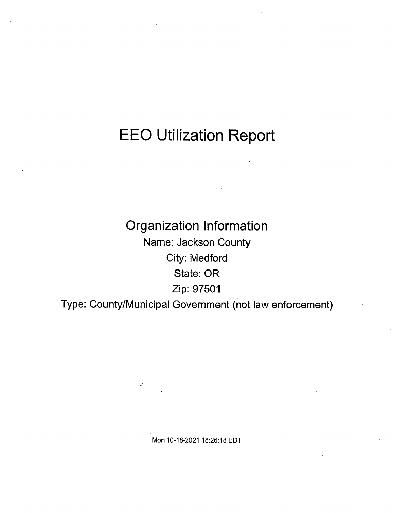# EEO Utilization Report

Organization Information Name: Jackson County City: Medford State: OR Zip: 97501

Type: County/Municipal Government (not law enforcement)

Mon 10-18-2021 18:26:18 EDT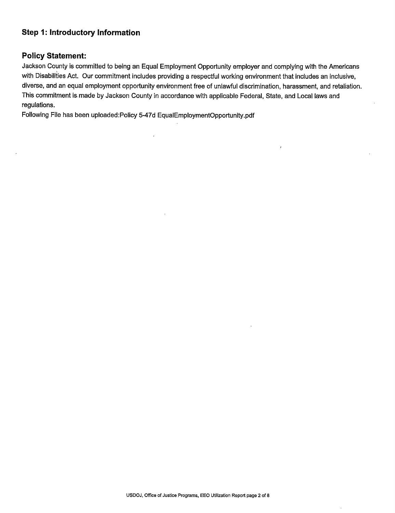## step 1: Introductory Information

#### Policy Statement;

Jackson County is committed to being an Equai Empioyment Opportunity employer and compiying with the Americans with Disabilities Act. Our commitment includes providing a respectful working environment that includes an inclusive, diverse, and an equal employment opportunity environment free of uniawful discrimination, harassment, and retaiiation. This commitment is made by Jackson County in accordance with applicable Federal, State, and Local laws and regulations.

 $\overline{1}$ 

Following File has been uploaded:Pollcy 5-47d EqualEmploymentOpportunity.pdf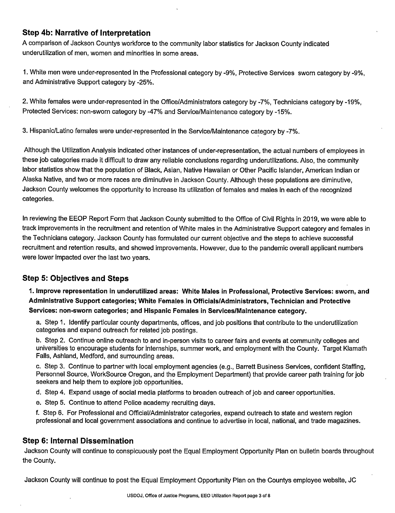## step 4b: Narrative of Interpretation

A comparison of Jackson Countys workforce to the community labor statistics for Jackson County indicated underutilization of men, women and minorities in some areas.

1. White men were under-represented in the Professional category by -9%, Protective Services sworn category by -9%, and Administrative Support category by -25%.

2. White females were under-represented in the Office/Administrators category by -7%, Technicians category by -19%, Protected Services: non-sworn category by -47% and Service/Maintenance category by -15%.

3. Hispanic/Latino females were under-represented in the Service/Maintenance category by -7%.

Although the Utilization Analysis indicated other instances of under-representation, the actual numbers of employees in these job categories made it difficult to draw any reliable conclusions regarding underutilizations. Also, the community labor statistics show that the population of Black, Asian, Native Hawaiian or Other Pacific Islander, American Indian or Alaska Native, and two or more races are diminutive in Jackson County. Although these populations are diminutive, Jackson County welcomes the opportunity to increase its utilization of females and males in each of the recognized categories.

In reviewing the EEOP Report Form that Jackson County submitted to the Office of Civil Rights in 2019, we were able to track Improvements in the recruitment and retention of White maies in the Administrative Support category and females in the Technicians category. Jackson County has formulated our current objective and the steps to achieve successful recruitment and retention results, and showed improvements. However, due to the pandemic overali applicant numbers were lower impacted over the iast two years.

## Step 5: Objectives and Steps

1. improve representation In underutilized areas: White Maies in Professional, Protective Services: sworn, and Administrative Support categories; White Females in Officials/Administrators, Technician and Protective Services: non-sworn categories; and Hispanic Females in Services/Maintenance category.

a. Step 1. Identify particuiar county departments, offices, and job positions that contribute to the underutilization categories and expand outreach for related job postings.

b. Step 2. Continue online outreach to and in-person visits to career fairs and events at community colleges and universities to encourage students for internships, summer work, and empioyment with the County. Target Klamath Falls, Ashland, Medford, and surrounding areas.

c. Step 3. Continue to partner with local employment agencies (e.g., Barrett Business Services, confident Staffing, Personnel Source, WorkSource Oregon, and the Employment Department) that provide career path training for job seekers and help them to explore job opportunities.

- d. Step 4. Expand usage of social media platforms to broaden outreach of job and career opportunities.
- e. Step 5. Continue to attend Police academy recruiting days.

f. Step 6. For Professional and Official/Administrator categories, expand outreach to state and western region professional and local government associations and continue to advertise in local, national, and trade magazines.

## Step 6: Internal Dissemination

Jackson County will continue to conspicuously post the Equal Employment Opportunity Plan on bulletin boards throughout the County.

Jackson County will continue to post the Equal Employment Opportunity Plan on the Countys employee website, JC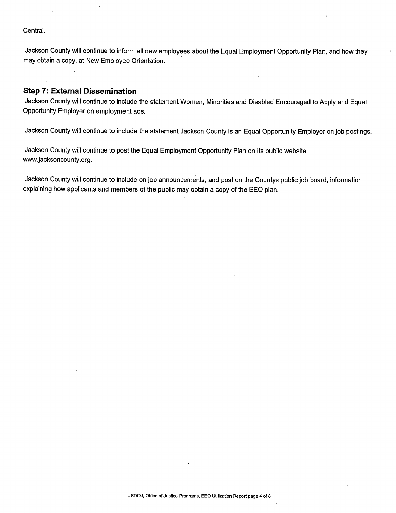Central.

Jackson County will continue to inform all new employees about the Equal Employment Opportunity Plan, and how they may obtain a copy, at New Employee Orientation.

#### Step 7: External Dissemination

Jackson County will continue to include the statement Women, Minorities and Disabled Encouraged to Apply and Equal Opportunity Employer on employment ads.

· Jackson County will continue to include the statement Jackson County is an Equal Opportunity Employer on job postings.

Jackson County will continue to post the Equal Employment Opportunity Plan on its public website, www.jacksoncounty.org.

Jackson County will continue to include on job announcements, and post on the Countys public job board, information explaining how applicants and members of the public may obtain a copy of the EEC pian.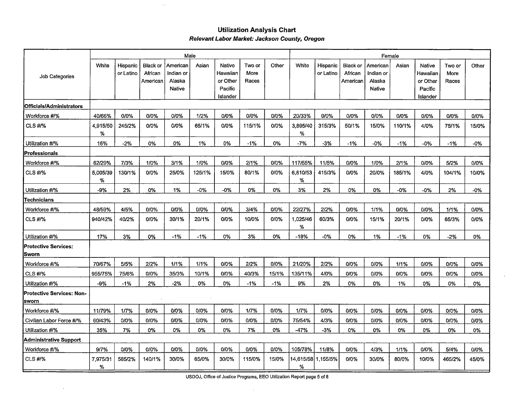#### **Utilization Analysis Chart** Relevant Labor Market: Jackson County, Oregon

 $\sim$ 

 $\bar{\mathcal{A}}$ 

| Male                                      |               |                       |                                        |                                                  |        |                                                       |                         | Female |                         |                       |                                        |                                           |        |                                                       |                         |       |  |
|-------------------------------------------|---------------|-----------------------|----------------------------------------|--------------------------------------------------|--------|-------------------------------------------------------|-------------------------|--------|-------------------------|-----------------------|----------------------------------------|-------------------------------------------|--------|-------------------------------------------------------|-------------------------|-------|--|
| <b>Job Categories</b>                     | White         | Hispanic<br>or Latino | <b>Black or</b><br>African<br>American | American<br>Indian or<br>Alaska<br><b>Native</b> | Asian  | Native<br>Hawaiian<br>or Other<br>Pacific<br>Islander | Two or<br>More<br>Races | Other  | White                   | Hispanic<br>or Latino | <b>Black or</b><br>African<br>American | American<br>Indian or<br>Alaska<br>Native | Asian  | Native<br>Hawaiian<br>or Other<br>Pacific<br>Islander | Two or<br>More<br>Races | Other |  |
| Officials/Administrators                  |               |                       |                                        |                                                  |        |                                                       |                         |        |                         |                       |                                        |                                           |        |                                                       |                         |       |  |
| Workforce #/%                             | 40/66%        | 0/0%                  | 0/0%                                   | 0/0%                                             | 1/2%   | 0/0%                                                  | 0/0%                    | 0/0%   | 20/33%                  | 0/0%                  | 0/0%                                   | 0/0%                                      | 0/0%   | 0/0%                                                  | 0/0%                    | 0/0%  |  |
| <b>CLS #/%</b>                            | 4,915/50<br>℅ | 245/2%                | 0/0%                                   | 0/0%                                             | 65/1%  | 0/0%                                                  | 115/1%                  | 0/0%   | 3,895/40<br>℅           | 315/3%                | 50/1%                                  | 15/0%                                     | 110/1% | 4/0%                                                  | 75/1%                   | 15/0% |  |
| Utilization #/%                           | 16%           | $-2%$                 | 0%                                     | 0%                                               | 1%     | 0%                                                    | $-1%$                   | 0%     | $-7%$                   | -3%                   | $-1%$                                  | -0%                                       | $-1%$  | -0%                                                   | $-1%$                   | -0%   |  |
| <b>Professionals</b>                      |               |                       |                                        |                                                  |        |                                                       |                         |        |                         |                       |                                        |                                           |        |                                                       |                         |       |  |
| Workforce #/%                             | 62/29%        | 7/3%                  | 1/0%                                   | 3/1%                                             | 1/0%   | 0/0%                                                  | 2/1%                    | 0/0%   | 117/55%                 | 11/5%                 | 0/0%                                   | 1/0%                                      | 2/1%   | 0/0%                                                  | 5/2%                    | 0/0%  |  |
| <b>CLS #/%</b>                            | 5,005/39<br>% | 130/1%                | 0/0%                                   | 25/0%                                            | 125/1% | 15/0%                                                 | 80/1%                   | 0/0%   | 6,810/53<br>%           | 415/3%                | 0/0%                                   | 20/0%                                     | 185/1% | 4/0%                                                  | 104/1%                  | 10/0% |  |
| Utilization #/%                           | -9%           | 2%                    | 0%                                     | 1%                                               | $-0%$  | $-0%$                                                 | 0%                      | 0%     | 3%                      | 2%                    | 0%                                     | 0%                                        | $-0%$  | $-0%$                                                 | 2%                      | $-0%$ |  |
| Technicians                               |               |                       |                                        |                                                  |        |                                                       |                         |        |                         |                       |                                        |                                           |        |                                                       |                         |       |  |
| Workforce #/%                             | 48/59%        | 4/5%                  | 0/0%                                   | 0/0%                                             | 0/0%   | 0/0%                                                  | 3/4%                    | 0/0%   | 22/27%                  | 2/2%                  | 0/0%                                   | 1/1%                                      | 0/0%   | 0/0%                                                  | 1/1%                    | 0/0%  |  |
| <b>CLS #/%</b>                            | 940/42%       | 40/2%                 | 0/0%                                   | 30/1%                                            | 20/1%  | 0/0%                                                  | 10/0%                   | 0/0%   | 1,025/46<br>℅           | 60/3%                 | 0/0%                                   | 15/1%                                     | 20/1%  | 0/0%                                                  | 65/3%                   | 0/0%  |  |
| Utilization #/%                           | 17%           | 3%                    | 0%                                     | $-1%$                                            | $-1%$  | 0%                                                    | 3%                      | 0%     | $-19%$                  | $-0\%$                | 0%                                     | 1%                                        | $-1%$  | 0%                                                    | $-2%$                   | 0%    |  |
| <b>Protective Services:</b><br>Sworn      |               |                       |                                        |                                                  |        |                                                       |                         |        |                         |                       |                                        |                                           |        |                                                       |                         |       |  |
| Workforce #/%                             | 70/67%        | 5/5%                  | 2/2%                                   | 1/1%                                             | 1/1%   | 0/0%                                                  | 2/2%                    | 0/0%   | 21/20%                  | 2/2%                  | 0/0%                                   | 0/0%                                      | 1/1%   | 0/0%                                                  | 0/0%                    | 0/0%  |  |
| <b>CLS #/%</b>                            | 955/75%       | 75/6%                 | 0/0%                                   | 35/3%                                            | 10/1%  | 0/0%                                                  | 40/3%                   | 15/1%  | 135/11%                 | 4/0%                  | 0/0%                                   | 0/0%                                      | 0/0%   | 0/0%                                                  | 0/0%                    | 0/0%  |  |
| Utilization #/%                           | $-9%$         | $-1%$                 | 2%                                     | $-2%$                                            | 0%     | 0%                                                    | $-1%$                   | $-1%$  | 9%                      | 2%                    | 0%                                     | 0%                                        | 1%     | 0%                                                    | 0%                      | 0%    |  |
| <b>Protective Services: Non-</b><br>sworn |               |                       |                                        |                                                  |        |                                                       |                         |        |                         |                       |                                        |                                           |        |                                                       |                         |       |  |
| Workforce #/%                             | 11/79%        | 1/7%                  | 0/0%                                   | 0/0%                                             | 0/0%   | 0/0%                                                  | 1/7%                    | 0/0%   | 1/7%                    | 0/0%                  | 0/0%                                   | 0/0%                                      | 0/0%   | 0/0%                                                  | 0/0%                    | 0/0%  |  |
| Civilian Labor Force #/%                  | 60/43%        | 0/0%                  | 0/0%                                   | 0/0%                                             | 0/0%   | 0/0%                                                  | 0/0%                    | 0/0%   | 75/54%                  | 4/3%                  | 0/0%                                   | 0/0%                                      | 0/0%   | 0/0%                                                  | 0/0%                    | 0/0%  |  |
| Utilization #/%                           | 35%           | 7%                    | 0%                                     | 0%                                               | 0%     | 0%                                                    | 7%                      | 0%     | $-47%$                  | $-3%$                 | 0%                                     | 0%                                        | 0%     | 0%                                                    | 0%                      | 0%    |  |
| Administrative Support                    |               |                       |                                        |                                                  |        |                                                       |                         |        |                         |                       |                                        |                                           |        |                                                       |                         |       |  |
| Workforce #/%                             | 9/7%          | 0/0%                  | 0/0%                                   | 0/0%                                             | 0/0%   | 0/0%                                                  | 0/0%                    | 0/0%   | 105/78%                 | 11/8%                 | 0/0%                                   | 4/3%                                      | 1/1%   | 0/0%                                                  | 5/4%                    | 0/0%  |  |
| <b>CLS #/%</b>                            | 7,975/31<br>% | 585/2%                | 140/1%                                 | 30/0%                                            | 65/0%  | 30/0%                                                 | 115/0%                  | 15/0%  | 14,615/58 1,155/5%<br>% |                       | 0/0%                                   | 30/0%                                     | 80/0%  | 10/0%                                                 | 465/2%                  | 45/0% |  |

 $\mathbf{r}$ 

USDOJ, Office of Justice Programs, EEC Utilization Report page 5 of 8

 $\sim 10^7$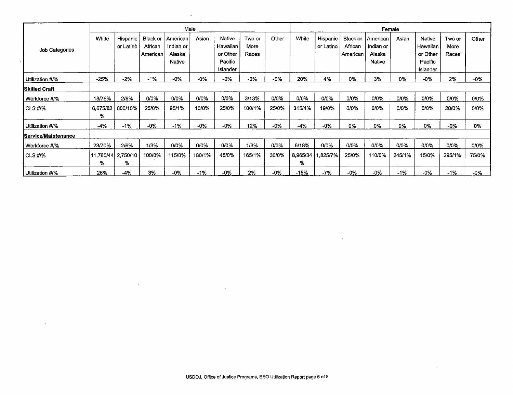|                            | Male          |                         |                     |                     |        |                      |               |        |               | Female     |                     |                     |        |                      |               |       |  |  |
|----------------------------|---------------|-------------------------|---------------------|---------------------|--------|----------------------|---------------|--------|---------------|------------|---------------------|---------------------|--------|----------------------|---------------|-------|--|--|
|                            | White         | Hispanic                | Black or            | American            | Asian  | Native               | Two or        | Other  | White         | Hispanic   | Black or            | American            | Asian  | Native               | Two or        | Other |  |  |
| Job Categories             |               | or Latino               | African<br>American | Indian or<br>Alaska |        | Hawaiian<br>or Other | More<br>Races |        |               | or Latino  | African<br>American | Indian or<br>Alaska |        | Hawaiian<br>or Other | More<br>Races |       |  |  |
|                            |               |                         |                     | <b>Native</b>       |        | Pacific<br>Islander  |               |        |               |            |                     | <b>Native</b>       |        | Pacific<br>Islander  |               |       |  |  |
| Utilization #/%            | $-25%$        | $-2%$                   | $-1%$               | $-0%$               | $-0%$  | $-0%$                | $-0%$         | -0%    | 20%           | 4%         | 0%                  | 3%                  | 0%     | $-0%$                | 2%            | -0%   |  |  |
| <b>Skilled Craft</b>       |               |                         |                     |                     |        |                      |               |        |               |            |                     |                     |        |                      |               |       |  |  |
| Workforce #/%              | 18/78%        | 2/9%                    | 0/0%                | 0/0%                | 0/0%   | 0/0%                 | 3/13%         | 0/0%   | 0/0%          | 0/0%       | 0/0%                | 0/0%                | 0/0%   | 0/0%                 | 0/0%          | 0/0%  |  |  |
| <b>CLS #/%</b>             | 6,675/82<br>% | 800/10%                 | 25/0%               | 95/1%               | 10/0%  | 25/0%                | 100/1%        | 25/0%  | 315/4%        | 19/0%      | 0/0%                | 0/0%                | 0/0%   | 0/0%                 | 20/0%         | 0/0%  |  |  |
| Utilization #/%            | -4%           | $-1%$                   | $-0\%$              | $-1%$               | $-0\%$ | -0%                  | 12%           | $-0\%$ | $-4%$         | -0%        | 0%                  | 0%                  | 0%     | 0%                   | $-0%$         | 0%    |  |  |
| <b>Service/Maintenance</b> |               |                         |                     |                     |        |                      |               |        |               |            |                     |                     |        |                      |               |       |  |  |
| Workforce #/%              | 23/70%        | 2/6%                    | 1/3%                | 0/0%                | 0/0%   | 0/0%                 | 1/3%          | 0/0%   | 6/18%         | 0/0%       | 0/0%                | 0/0%                | 0/0%   | 0/0%                 | 0/0%          | 0/0%  |  |  |
| <b>CLS #/%</b>             | %             | 11,760/44 2,750/10<br>% | 100/0%              | 115/0%              | 180/1% | 45/0%                | 165/1%        | 30/0%  | 8,965/34<br>% | $1.8257\%$ | 25/0%               | 110/0%              | 245/1% | 15/0%                | 295/1%        | 75/0% |  |  |
| Utilization #/%            | 26%           | $-4%$                   | 3%                  | $-0%$               | -1%    | -0%                  | 2%            | $-0\%$ | $-15%$        | $-7%$      | $-0%$               | $-0%$               | $-1%$  | $-0%$                | -1%           | -0%   |  |  |

 $\sim$ 

 $\ddot{\phantom{a}}$ 

 $\sim$ 

 $\mathcal{L}$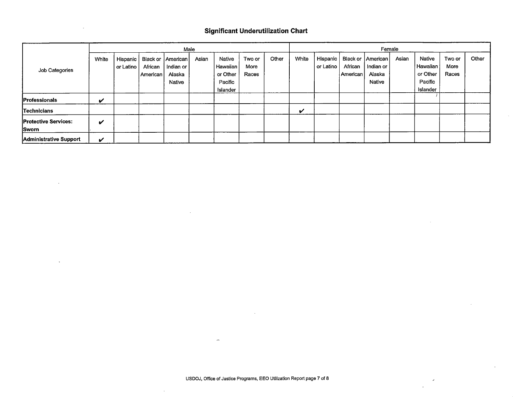#### Significant Underutiiization Chart

|                                      |       |                         |                       | Male                                                   |       |                                                       |                         | Female |       |                       |                     |                                                        |       |                                                       |                         |       |
|--------------------------------------|-------|-------------------------|-----------------------|--------------------------------------------------------|-------|-------------------------------------------------------|-------------------------|--------|-------|-----------------------|---------------------|--------------------------------------------------------|-------|-------------------------------------------------------|-------------------------|-------|
| Job Categories                       | White | Hispanic  <br>or Latino | African<br>  American | Black or   American  <br>Indian or<br>Alaska<br>Native | Asian | Native<br>Hawaiian<br>or Other<br>Pacific<br>Islander | Two or<br>More<br>Races | Other  | White | Hispanic<br>or Latino | African<br>American | Black or   American  <br>Indian or<br>Alaska<br>Native | Asian | Native<br>Hawaiian<br>or Other<br>Pacific<br>Islander | Two or<br>More<br>Races | Other |
| Professionals                        | ✔     |                         |                       |                                                        |       |                                                       |                         |        |       |                       |                     |                                                        |       |                                                       |                         |       |
| Technicians                          |       |                         |                       |                                                        |       |                                                       |                         |        | V     |                       |                     |                                                        |       |                                                       |                         |       |
| <b>Protective Services:</b><br>Sworn | V     |                         |                       |                                                        |       |                                                       |                         |        |       |                       |                     |                                                        |       |                                                       |                         |       |
| Administrative Support               | ✔     |                         |                       |                                                        |       |                                                       |                         |        |       |                       |                     |                                                        |       |                                                       |                         |       |

 $\sim$ 

 $\sim$ 

 $\lambda$